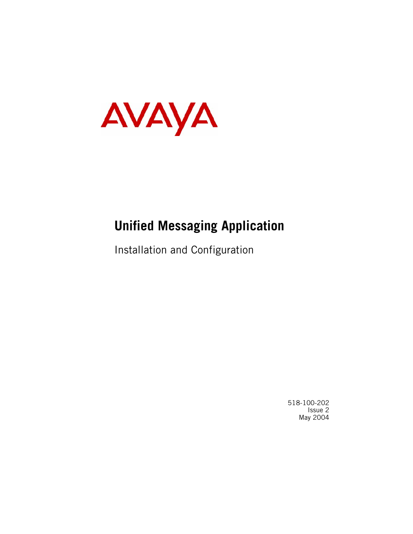

# **Unified Messaging Application**

Installation and Configuration

518-100-202 Issue 2 May 2004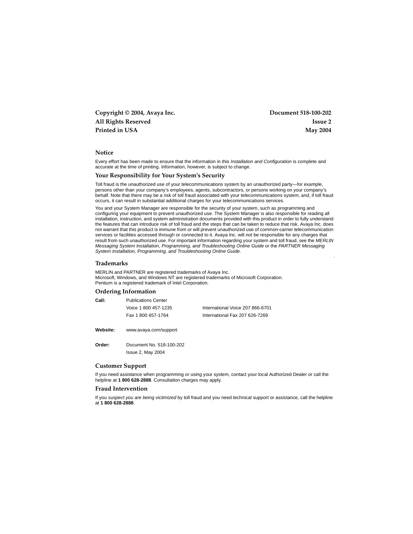**Copyright © 2004, Avaya Inc. Document 518-100-202 All Rights Reserved Issue 2 Printed in USA** May 2004

#### **Notice**

Every effort has been made to ensure that the information in this Installation and Configuration is complete and accurate at the time of printing. Information, however, is subject to change.

#### **Your Responsibility for Your System's Security**

Toll fraud is the unauthorized use of your telecommunications system by an unauthorized party—for example, persons other than your company's employees, agents, subcontractors, or persons working on your company's behalf. Note that there may be a risk of toll fraud associated with your telecommunications system, and, if toll fraud occurs, it can result in substantial additional charges for your telecommunications services.

You and your System Manager are responsible for the security of your system, such as programming and configuring your equipment to prevent unauthorized use. The System Manager is also responsible for reading all installation, instruction, and system administration documents provided with this product in order to fully understand the features that can introduce risk of toll fraud and the steps that can be taken to reduce that risk. Avaya Inc. does not warrant that this product is immune from or will prevent unauthorized use of common-carrier telecommunication services or facilities accessed through or connected to it. Avaya Inc. will not be responsible for any charges that result from such unauthorized use. For important information regarding your system and toll fraud, see the MERLIN Messaging System Installation, Programming, and Troubleshooting Online Guide or the PARTNER Messaging System Installation, Programming, and Troubleshooting Online Guide.

#### **Trademarks**

MERLIN and PARTNER are registered trademarks of Avaya Inc. Microsoft, Windows, and Windows NT are registered trademarks of Microsoft Corporation. Pentium is a registered trademark of Intel Corporation.

#### **Ordering Information**

| Call:    | <b>Publications Center</b> |                                  |  |
|----------|----------------------------|----------------------------------|--|
|          | Voice 1 800 457-1235       | International Voice 207 866-6701 |  |
|          | Fax 1800 457-1764          | International Fax 207 626-7269   |  |
| Website: | www.avaya.com/support      |                                  |  |
| Order:   | Document No. 518-100-202   |                                  |  |

Issue 2, May 2004

#### **Customer Support**

If you need assistance when programming or using your system, contact your local Authorized Dealer or call the helpline at **1 800 628-2888**. Consultation charges may apply.

#### **Fraud Intervention**

If you suspect you are being victimized by toll fraud and you need technical support or assistance, call the helpline at **1 800 628-2888**.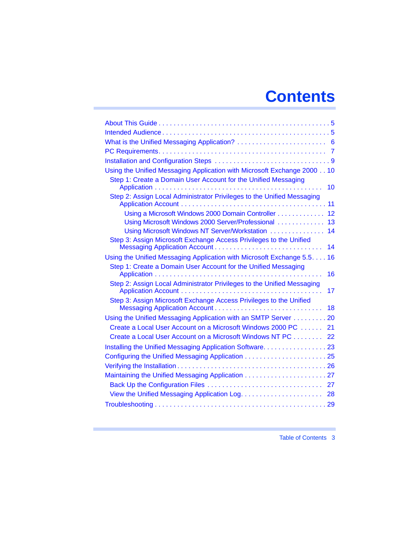# **Contents**

| Using the Unified Messaging Application with Microsoft Exchange 2000 10      |
|------------------------------------------------------------------------------|
| Step 1: Create a Domain User Account for the Unified Messaging<br>10         |
| Step 2: Assign Local Administrator Privileges to the Unified Messaging       |
| Using a Microsoft Windows 2000 Domain Controller 12                          |
| Using Microsoft Windows 2000 Server/Professional<br>13                       |
| Using Microsoft Windows NT Server/Workstation<br>14                          |
| Step 3: Assign Microsoft Exchange Access Privileges to the Unified<br>14     |
| Using the Unified Messaging Application with Microsoft Exchange 5.5. 16      |
| Step 1: Create a Domain User Account for the Unified Messaging<br>16         |
| Step 2: Assign Local Administrator Privileges to the Unified Messaging<br>17 |
| Step 3: Assign Microsoft Exchange Access Privileges to the Unified<br>18     |
| Using the Unified Messaging Application with an SMTP Server 20               |
| Create a Local User Account on a Microsoft Windows 2000 PC<br>21             |
| Create a Local User Account on a Microsoft Windows NT PC 22                  |
| Installing the Unified Messaging Application Software. 23                    |
|                                                                              |
|                                                                              |
|                                                                              |
|                                                                              |
|                                                                              |
|                                                                              |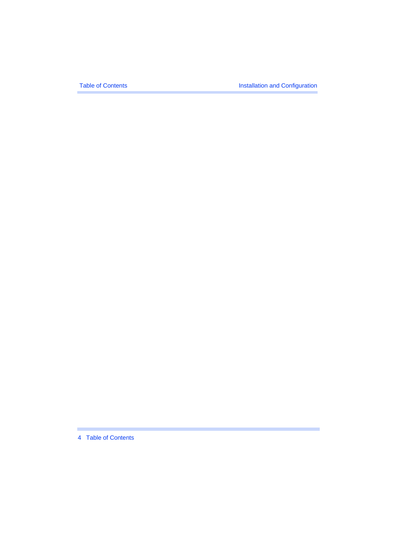٠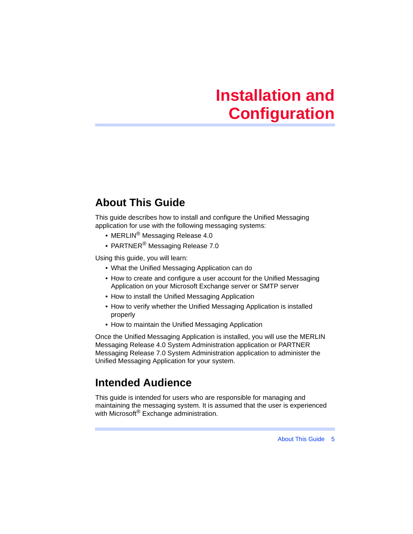# **Installation and Configuration**

# <span id="page-4-0"></span>**About This Guide**

This guide describes how to install and configure the Unified Messaging application for use with the following messaging systems:

- MERLIN<sup>®</sup> Messaging Release 4.0
- PARTNER<sup>®</sup> Messaging Release 7.0

Using this guide, you will learn:

- What the Unified Messaging Application can do
- How to create and configure a user account for the Unified Messaging Application on your Microsoft Exchange server or SMTP server
- How to install the Unified Messaging Application
- How to verify whether the Unified Messaging Application is installed properly
- How to maintain the Unified Messaging Application

Once the Unified Messaging Application is installed, you will use the MERLIN Messaging Release 4.0 System Administration application or PARTNER Messaging Release 7.0 System Administration application to administer the Unified Messaging Application for your system.

# <span id="page-4-1"></span>**Intended Audience**

This guide is intended for users who are responsible for managing and maintaining the messaging system. It is assumed that the user is experienced with Microsoft<sup>®</sup> Exchange administration.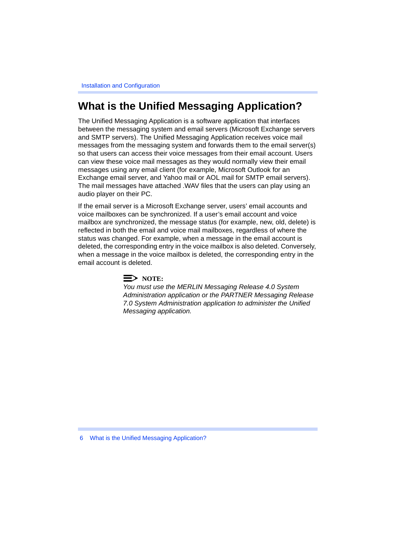# <span id="page-5-0"></span>**What is the Unified Messaging Application?**

The Unified Messaging Application is a software application that interfaces between the messaging system and email servers (Microsoft Exchange servers and SMTP servers). The Unified Messaging Application receives voice mail messages from the messaging system and forwards them to the email server(s) so that users can access their voice messages from their email account. Users can view these voice mail messages as they would normally view their email messages using any email client (for example, Microsoft Outlook for an Exchange email server, and Yahoo mail or AOL mail for SMTP email servers). The mail messages have attached .WAV files that the users can play using an audio player on their PC.

If the email server is a Microsoft Exchange server, users' email accounts and voice mailboxes can be synchronized. If a user's email account and voice mailbox are synchronized, the message status (for example, new, old, delete) is reflected in both the email and voice mail mailboxes, regardless of where the status was changed. For example, when a message in the email account is deleted, the corresponding entry in the voice mailbox is also deleted. Conversely, when a message in the voice mailbox is deleted, the corresponding entry in the email account is deleted.

## $\equiv$  note:

You must use the MERLIN Messaging Release 4.0 System Administration application or the PARTNER Messaging Release 7.0 System Administration application to administer the Unified Messaging application.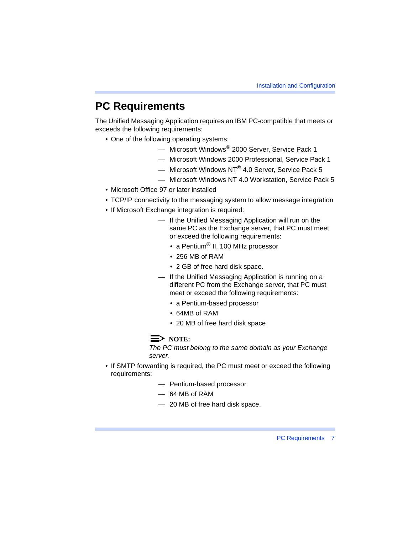# <span id="page-6-0"></span>**PC Requirements**

The Unified Messaging Application requires an IBM PC-compatible that meets or exceeds the following requirements:

- One of the following operating systems:
	- Microsoft Windows® 2000 Server, Service Pack 1
	- Microsoft Windows 2000 Professional, Service Pack 1
	- Microsoft Windows NT® 4.0 Server, Service Pack 5
	- Microsoft Windows NT 4.0 Workstation, Service Pack 5
- Microsoft Office 97 or later installed
- TCP/IP connectivity to the messaging system to allow message integration
- If Microsoft Exchange integration is required:
	- If the Unified Messaging Application will run on the same PC as the Exchange server, that PC must meet or exceed the following requirements:
		- a Pentium<sup>®</sup> II, 100 MHz processor
		- 256 MB of RAM
		- 2 GB of free hard disk space.
	- If the Unified Messaging Application is running on a different PC from the Exchange server, that PC must meet or exceed the following requirements:
		- a Pentium-based processor
		- 64MB of RAM
		- 20 MB of free hard disk space

### $\equiv$  note:

The PC must belong to the same domain as your Exchange server.

- If SMTP forwarding is required, the PC must meet or exceed the following requirements:
	- Pentium-based processor
	- 64 MB of RAM
	- 20 MB of free hard disk space.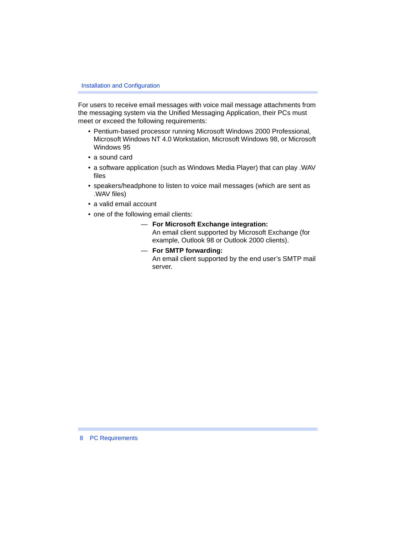For users to receive email messages with voice mail message attachments from the messaging system via the Unified Messaging Application, their PCs must meet or exceed the following requirements:

- Pentium-based processor running Microsoft Windows 2000 Professional, Microsoft Windows NT 4.0 Workstation, Microsoft Windows 98, or Microsoft Windows 95
- a sound card
- a software application (such as Windows Media Player) that can play .WAV files
- speakers/headphone to listen to voice mail messages (which are sent as .WAV files)
- a valid email account
- one of the following email clients:
	- **For Microsoft Exchange integration:** An email client supported by Microsoft Exchange (for example, Outlook 98 or Outlook 2000 clients).

— **For SMTP forwarding:** An email client supported by the end user's SMTP mail server.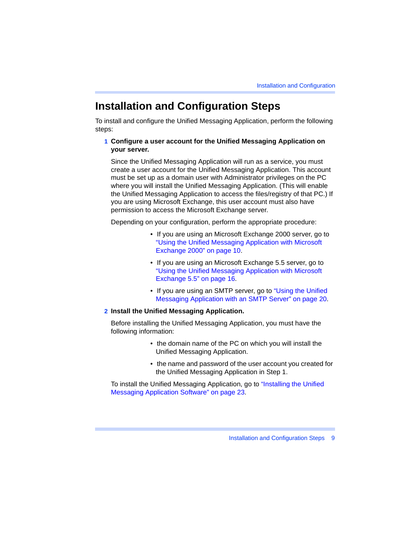# <span id="page-8-0"></span>**Installation and Configuration Steps**

To install and configure the Unified Messaging Application, perform the following steps:

**1 Configure a user account for the Unified Messaging Application on your server.**

Since the Unified Messaging Application will run as a service, you must create a user account for the Unified Messaging Application. This account must be set up as a domain user with Administrator privileges on the PC where you will install the Unified Messaging Application. (This will enable the Unified Messaging Application to access the files/registry of that PC.) If you are using Microsoft Exchange, this user account must also have permission to access the Microsoft Exchange server.

Depending on your configuration, perform the appropriate procedure:

- If you are using an Microsoft Exchange 2000 server, go to ["Using the Unified Messaging Application with Microsoft](#page-9-0)  [Exchange 2000" on page 10.](#page-9-0)
- If you are using an Microsoft Exchange 5.5 server, go to ["Using the Unified Messaging Application with Microsoft](#page-15-0)  [Exchange 5.5" on page 16](#page-15-0).
- If you are using an SMTP server, go to "Using the Unified" [Messaging Application with an SMTP Server" on page 20.](#page-19-0)

### **2 Install the Unified Messaging Application.**

Before installing the Unified Messaging Application, you must have the following information:

- the domain name of the PC on which you will install the Unified Messaging Application.
- the name and password of the user account you created for the Unified Messaging Application in Step 1.

To install the Unified Messaging Application, go to ["Installing the Unified](#page-22-0)  [Messaging Application Software" on page 23.](#page-22-0)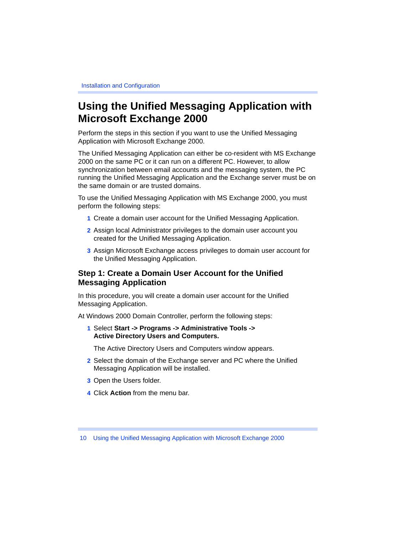# <span id="page-9-0"></span>**Using the Unified Messaging Application with Microsoft Exchange 2000**

Perform the steps in this section if you want to use the Unified Messaging Application with Microsoft Exchange 2000.

The Unified Messaging Application can either be co-resident with MS Exchange 2000 on the same PC or it can run on a different PC. However, to allow synchronization between email accounts and the messaging system, the PC running the Unified Messaging Application and the Exchange server must be on the same domain or are trusted domains.

To use the Unified Messaging Application with MS Exchange 2000, you must perform the following steps:

- **1** Create a domain user account for the Unified Messaging Application.
- **2** Assign local Administrator privileges to the domain user account you created for the Unified Messaging Application.
- **3** Assign Microsoft Exchange access privileges to domain user account for the Unified Messaging Application.

## <span id="page-9-1"></span>**Step 1: Create a Domain User Account for the Unified Messaging Application**

In this procedure, you will create a domain user account for the Unified Messaging Application.

At Windows 2000 Domain Controller, perform the following steps:

**1** Select **Start -> Programs -> Administrative Tools -> Active Directory Users and Computers.**

The Active Directory Users and Computers window appears.

- **2** Select the domain of the Exchange server and PC where the Unified Messaging Application will be installed.
- **3** Open the Users folder.
- **4** Click **Action** from the menu bar.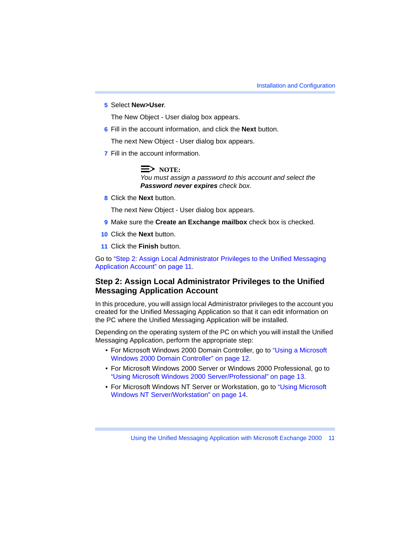#### **5** Select **New>User**.

The New Object - User dialog box appears.

**6** Fill in the account information, and click the **Next** button.

The next New Object - User dialog box appears.

**7** Fill in the account information.

### $\equiv$   $\geq$  NOTE:

You must assign a password to this account and select the **Password never expires** check box.

**8** Click the **Next** button.

The next New Object - User dialog box appears.

- **9** Make sure the **Create an Exchange mailbox** check box is checked.
- **10** Click the **Next** button.
- **11** Click the **Finish** button.

Go to ["Step 2: Assign Local Administrator Privileges to the Unified Messaging](#page-10-0)  [Application Account" on page 11](#page-10-0).

### <span id="page-10-0"></span>**Step 2: Assign Local Administrator Privileges to the Unified Messaging Application Account**

In this procedure, you will assign local Administrator privileges to the account you created for the Unified Messaging Application so that it can edit information on the PC where the Unified Messaging Application will be installed.

Depending on the operating system of the PC on which you will install the Unified Messaging Application, perform the appropriate step:

- For Microsoft Windows 2000 Domain Controller, go to ["Using a Microsoft](#page-11-0)  [Windows 2000 Domain Controller" on page 12](#page-11-0).
- For Microsoft Windows 2000 Server or Windows 2000 Professional, go to ["Using Microsoft Windows 2000 Server/Professional" on page 13](#page-12-0).
- For Microsoft Windows NT Server or Workstation, go to ["Using Microsoft](#page-13-0)  [Windows NT Server/Workstation" on page 14.](#page-13-0)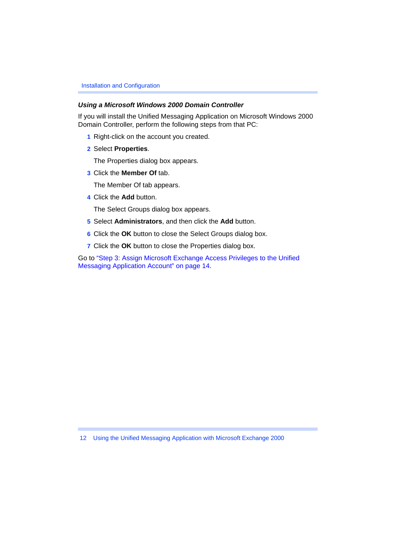### <span id="page-11-0"></span>**Using a Microsoft Windows 2000 Domain Controller**

If you will install the Unified Messaging Application on Microsoft Windows 2000 Domain Controller, perform the following steps from that PC:

- **1** Right-click on the account you created.
- **2** Select **Properties**.

The Properties dialog box appears.

**3** Click the **Member Of** tab.

The Member Of tab appears.

**4** Click the **Add** button.

The Select Groups dialog box appears.

- **5** Select **Administrators**, and then click the **Add** button.
- **6** Click the **OK** button to close the Select Groups dialog box.
- **7** Click the **OK** button to close the Properties dialog box.

Go to ["Step 3: Assign Microsoft Exchange Access Privileges to the Unified](#page-13-1)  [Messaging Application Account" on page 14.](#page-13-1)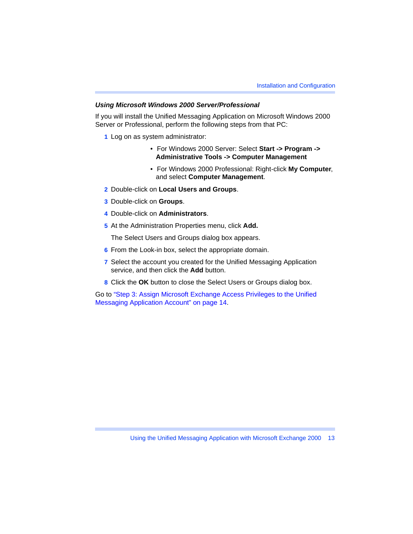### <span id="page-12-0"></span>**Using Microsoft Windows 2000 Server/Professional**

If you will install the Unified Messaging Application on Microsoft Windows 2000 Server or Professional, perform the following steps from that PC:

- **1** Log on as system administrator:
	- For Windows 2000 Server: Select **Start -> Program -> Administrative Tools -> Computer Management**
	- For Windows 2000 Professional: Right-click **My Computer**, and select **Computer Management**.
- **2** Double-click on **Local Users and Groups**.
- **3** Double-click on **Groups**.
- **4** Double-click on **Administrators**.
- **5** At the Administration Properties menu, click **Add.**

The Select Users and Groups dialog box appears.

- **6** From the Look-in box, select the appropriate domain.
- **7** Select the account you created for the Unified Messaging Application service, and then click the **Add** button.
- **8** Click the **OK** button to close the Select Users or Groups dialog box.

Go to ["Step 3: Assign Microsoft Exchange Access Privileges to the Unified](#page-13-1)  [Messaging Application Account" on page 14](#page-13-1).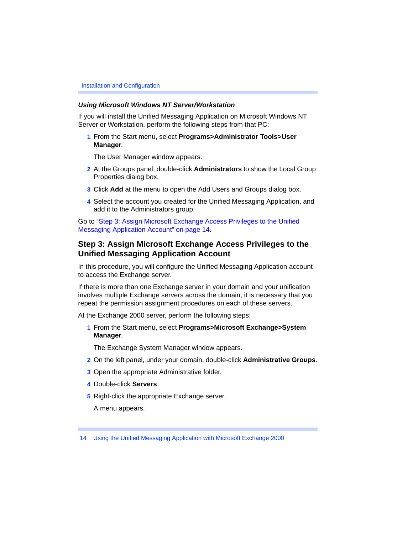### <span id="page-13-0"></span>**Using Microsoft Windows NT Server/Workstation**

If you will install the Unified Messaging Application on Microsoft Windows NT Server or Workstation, perform the following steps from that PC:

**1** From the Start menu, select **Programs>Administrator Tools>User Manager**.

The User Manager window appears.

- **2** At the Groups panel, double-click **Administrators** to show the Local Group Properties dialog box.
- **3** Click **Add** at the menu to open the Add Users and Groups dialog box.
- **4** Select the account you created for the Unified Messaging Application, and add it to the Administrators group.

Go to ["Step 3: Assign Microsoft Exchange Access Privileges to the Unified](#page-13-1)  [Messaging Application Account" on page 14.](#page-13-1)

### <span id="page-13-1"></span>**Step 3: Assign Microsoft Exchange Access Privileges to the Unified Messaging Application Account**

In this procedure, you will configure the Unified Messaging Application account to access the Exchange server.

If there is more than one Exchange server in your domain and your unification involves multiple Exchange servers across the domain, it is necessary that you repeat the permission assignment procedures on each of these servers.

At the Exchange 2000 server, perform the following steps:

**1** From the Start menu, select **Programs>Microsoft Exchange>System Manager**.

The Exchange System Manager window appears.

- **2** On the left panel, under your domain, double-click **Administrative Groups**.
- **3** Open the appropriate Administrative folder.
- **4** Double-click **Servers**.
- **5** Right-click the appropriate Exchange server.

A menu appears.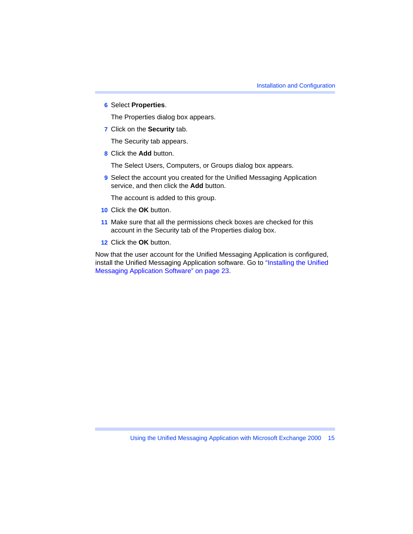#### **6** Select **Properties**.

The Properties dialog box appears.

**7** Click on the **Security** tab.

The Security tab appears.

**8** Click the **Add** button.

The Select Users, Computers, or Groups dialog box appears.

**9** Select the account you created for the Unified Messaging Application service, and then click the **Add** button.

The account is added to this group.

- **10** Click the **OK** button.
- **11** Make sure that all the permissions check boxes are checked for this account in the Security tab of the Properties dialog box.
- **12** Click the **OK** button.

Now that the user account for the Unified Messaging Application is configured, install the Unified Messaging Application software. Go to ["Installing the Unified](#page-22-0)  [Messaging Application Software" on page 23.](#page-22-0)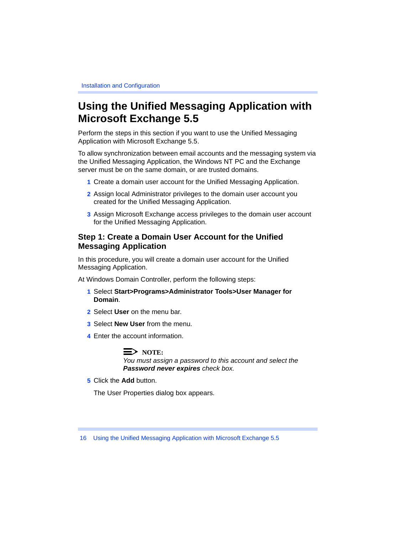# <span id="page-15-0"></span>**Using the Unified Messaging Application with Microsoft Exchange 5.5**

Perform the steps in this section if you want to use the Unified Messaging Application with Microsoft Exchange 5.5.

To allow synchronization between email accounts and the messaging system via the Unified Messaging Application, the Windows NT PC and the Exchange server must be on the same domain, or are trusted domains.

- **1** Create a domain user account for the Unified Messaging Application.
- **2** Assign local Administrator privileges to the domain user account you created for the Unified Messaging Application.
- **3** Assign Microsoft Exchange access privileges to the domain user account for the Unified Messaging Application.

## <span id="page-15-1"></span>**Step 1: Create a Domain User Account for the Unified Messaging Application**

In this procedure, you will create a domain user account for the Unified Messaging Application.

At Windows Domain Controller, perform the following steps:

- **1** Select **Start>Programs>Administrator Tools>User Manager for Domain**.
- **2** Select **User** on the menu bar.
- **3** Select **New User** from the menu.
- **4** Enter the account information.

## $\equiv$  note:

You must assign a password to this account and select the **Password never expires** check box.

**5** Click the **Add** button.

The User Properties dialog box appears.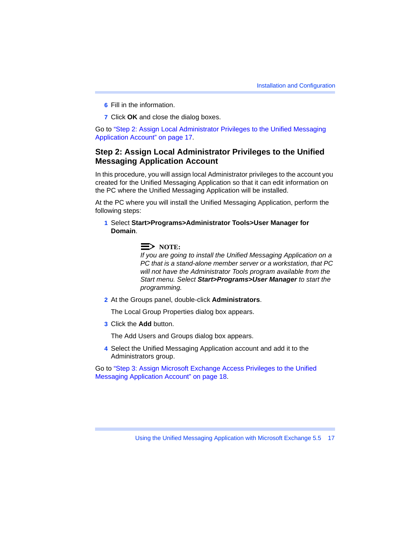- **6** Fill in the information.
- **7** Click **OK** and close the dialog boxes.

Go to ["Step 2: Assign Local Administrator Privileges to the Unified Messaging](#page-16-0)  [Application Account" on page 17](#page-16-0).

## <span id="page-16-0"></span>**Step 2: Assign Local Administrator Privileges to the Unified Messaging Application Account**

In this procedure, you will assign local Administrator privileges to the account you created for the Unified Messaging Application so that it can edit information on the PC where the Unified Messaging Application will be installed.

At the PC where you will install the Unified Messaging Application, perform the following steps:

### **1** Select **Start>Programs>Administrator Tools>User Manager for Domain**.

### $\equiv$  note:

If you are going to install the Unified Messaging Application on a PC that is a stand-alone member server or a workstation, that PC will not have the Administrator Tools program available from the Start menu. Select **Start>Programs>User Manager** to start the programming.

**2** At the Groups panel, double-click **Administrators**.

The Local Group Properties dialog box appears.

**3** Click the **Add** button.

The Add Users and Groups dialog box appears.

**4** Select the Unified Messaging Application account and add it to the Administrators group.

Go to ["Step 3: Assign Microsoft Exchange Access Privileges to the Unified](#page-17-0)  [Messaging Application Account" on page 18](#page-17-0).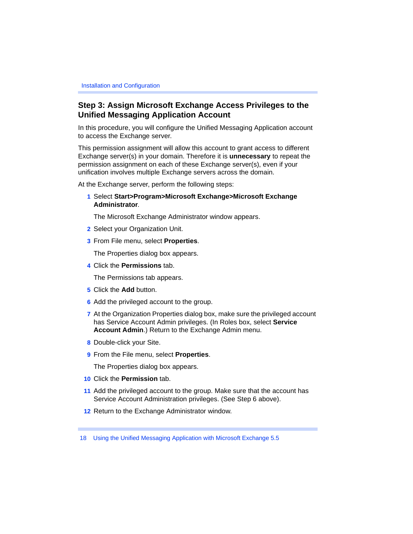### <span id="page-17-0"></span>**Step 3: Assign Microsoft Exchange Access Privileges to the Unified Messaging Application Account**

In this procedure, you will configure the Unified Messaging Application account to access the Exchange server.

This permission assignment will allow this account to grant access to different Exchange server(s) in your domain. Therefore it is **unnecessary** to repeat the permission assignment on each of these Exchange server(s), even if your unification involves multiple Exchange servers across the domain.

At the Exchange server, perform the following steps:

**1** Select **Start>Program>Microsoft Exchange>Microsoft Exchange Administrator**.

The Microsoft Exchange Administrator window appears.

- **2** Select your Organization Unit.
- **3** From File menu, select **Properties**.

The Properties dialog box appears.

**4** Click the **Permissions** tab.

The Permissions tab appears.

- **5** Click the **Add** button.
- **6** Add the privileged account to the group.
- **7** At the Organization Properties dialog box, make sure the privileged account has Service Account Admin privileges. (In Roles box, select **Service Account Admin**.) Return to the Exchange Admin menu.
- **8** Double-click your Site.
- **9** From the File menu, select **Properties**.

The Properties dialog box appears.

- **10** Click the **Permission** tab.
- **11** Add the privileged account to the group. Make sure that the account has Service Account Administration privileges. (See Step 6 above).
- **12** Return to the Exchange Administrator window.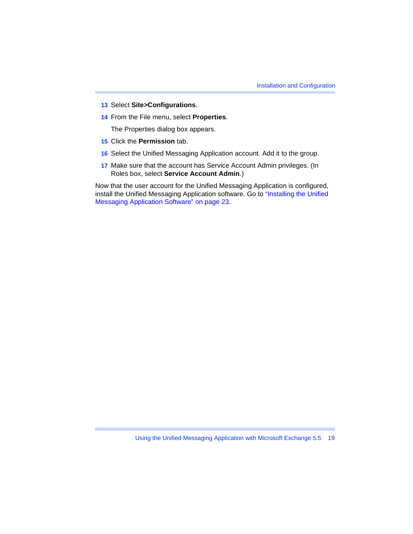#### **13** Select **Site>Configurations**.

**14** From the File menu, select **Properties**.

The Properties dialog box appears.

- **15** Click the **Permission** tab.
- **16** Select the Unified Messaging Application account. Add it to the group.
- **17** Make sure that the account has Service Account Admin privileges. (In Roles box, select **Service Account Admin**.)

Now that the user account for the Unified Messaging Application is configured, install the Unified Messaging Application software. Go to ["Installing the Unified](#page-22-0)  [Messaging Application Software" on page 23.](#page-22-0)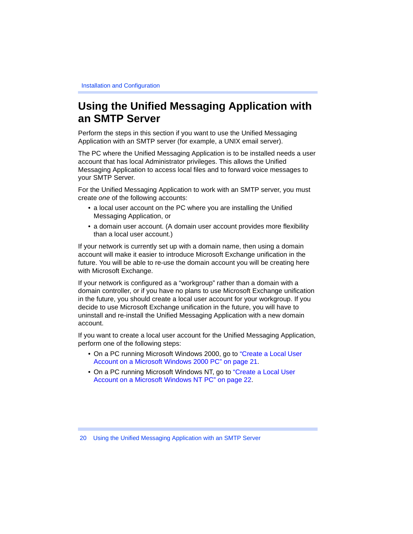# <span id="page-19-0"></span>**Using the Unified Messaging Application with an SMTP Server**

Perform the steps in this section if you want to use the Unified Messaging Application with an SMTP server (for example, a UNIX email server).

The PC where the Unified Messaging Application is to be installed needs a user account that has local Administrator privileges. This allows the Unified Messaging Application to access local files and to forward voice messages to your SMTP Server.

For the Unified Messaging Application to work with an SMTP server, you must create one of the following accounts:

- a local user account on the PC where you are installing the Unified Messaging Application, or
- a domain user account. (A domain user account provides more flexibility than a local user account.)

If your network is currently set up with a domain name, then using a domain account will make it easier to introduce Microsoft Exchange unification in the future. You will be able to re-use the domain account you will be creating here with Microsoft Exchange.

If your network is configured as a "workgroup" rather than a domain with a domain controller, or if you have no plans to use Microsoft Exchange unification in the future, you should create a local user account for your workgroup. If you decide to use Microsoft Exchange unification in the future, you will have to uninstall and re-install the Unified Messaging Application with a new domain account.

If you want to create a local user account for the Unified Messaging Application, perform one of the following steps:

- On a PC running Microsoft Windows 2000, go to "Create a Local User [Account on a Microsoft Windows 2000 PC" on page 21.](#page-20-0)
- On a PC running Microsoft Windows NT, go to ["Create a Local User](#page-21-0)  [Account on a Microsoft Windows NT PC" on page 22.](#page-21-0)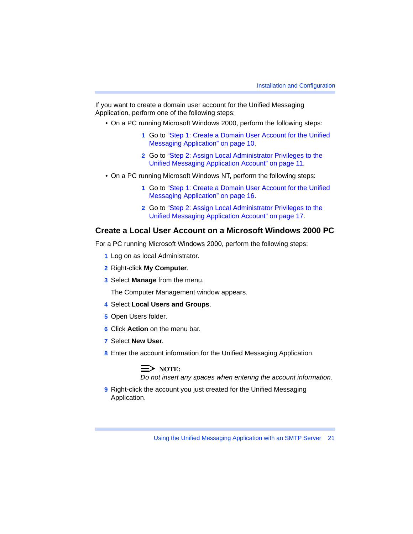If you want to create a domain user account for the Unified Messaging Application, perform one of the following steps:

- On a PC running Microsoft Windows 2000, perform the following steps:
	- **1** Go to ["Step 1: Create a Domain User Account for the Unified](#page-9-1)  [Messaging Application" on page 10](#page-9-1).
	- **2** Go to ["Step 2: Assign Local Administrator Privileges to the](#page-10-0)  [Unified Messaging Application Account" on page 11](#page-10-0).
- On a PC running Microsoft Windows NT, perform the following steps:
	- **1** Go to ["Step 1: Create a Domain User Account for the Unified](#page-15-1)  [Messaging Application" on page 16](#page-15-1).
	- **2** Go to ["Step 2: Assign Local Administrator Privileges to the](#page-16-0)  [Unified Messaging Application Account" on page 17.](#page-16-0)

### <span id="page-20-0"></span>**Create a Local User Account on a Microsoft Windows 2000 PC**

For a PC running Microsoft Windows 2000, perform the following steps:

- **1** Log on as local Administrator.
- **2** Right-click **My Computer**.
- **3** Select **Manage** from the menu.

The Computer Management window appears.

- **4** Select **Local Users and Groups**.
- **5** Open Users folder.
- **6** Click **Action** on the menu bar.
- **7** Select **New User**.
- **8** Enter the account information for the Unified Messaging Application.

### $\equiv$  note:

Do not insert any spaces when entering the account information.

**9** Right-click the account you just created for the Unified Messaging Application.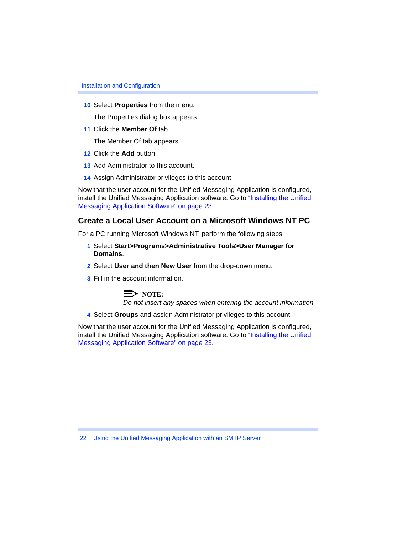**10** Select **Properties** from the menu.

The Properties dialog box appears.

**11** Click the **Member Of** tab.

The Member Of tab appears.

- **12** Click the **Add** button.
- **13** Add Administrator to this account.
- **14** Assign Administrator privileges to this account.

Now that the user account for the Unified Messaging Application is configured, install the Unified Messaging Application software. Go to ["Installing the Unified](#page-22-0)  [Messaging Application Software" on page 23](#page-22-0).

### <span id="page-21-0"></span>**Create a Local User Account on a Microsoft Windows NT PC**

For a PC running Microsoft Windows NT, perform the following steps

- **1** Select **Start>Programs>Administrative Tools>User Manager for Domains**.
- **2** Select **User and then New User** from the drop-down menu.
- **3** Fill in the account information.

## $\equiv$  note:

Do not insert any spaces when entering the account information.

**4** Select **Groups** and assign Administrator privileges to this account.

Now that the user account for the Unified Messaging Application is configured, install the Unified Messaging Application software. Go to ["Installing the Unified](#page-22-0)  [Messaging Application Software" on page 23](#page-22-0).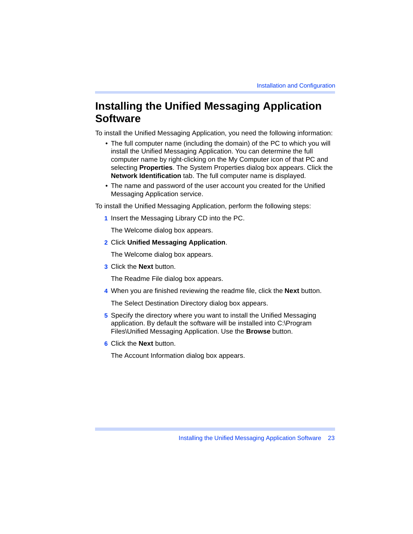# <span id="page-22-0"></span>**Installing the Unified Messaging Application Software**

To install the Unified Messaging Application, you need the following information:

- The full computer name (including the domain) of the PC to which you will install the Unified Messaging Application. You can determine the full computer name by right-clicking on the My Computer icon of that PC and selecting **Properties**. The System Properties dialog box appears. Click the **Network Identification** tab. The full computer name is displayed.
- The name and password of the user account you created for the Unified Messaging Application service.

To install the Unified Messaging Application, perform the following steps:

**1** Insert the Messaging Library CD into the PC.

The Welcome dialog box appears.

**2** Click **Unified Messaging Application**.

The Welcome dialog box appears.

**3** Click the **Next** button.

The Readme File dialog box appears.

**4** When you are finished reviewing the readme file, click the **Next** button.

The Select Destination Directory dialog box appears.

- **5** Specify the directory where you want to install the Unified Messaging application. By default the software will be installed into C:\Program Files\Unified Messaging Application. Use the **Browse** button.
- **6** Click the **Next** button.

The Account Information dialog box appears.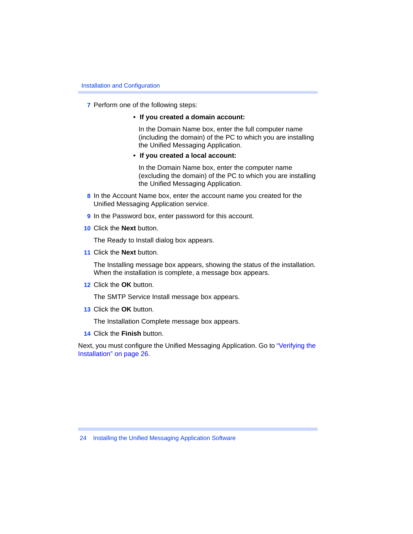- **7** Perform one of the following steps:
	- **If you created a domain account:**

In the Domain Name box, enter the full computer name (including the domain) of the PC to which you are installing the Unified Messaging Application.

**• If you created a local account:**

In the Domain Name box, enter the computer name (excluding the domain) of the PC to which you are installing the Unified Messaging Application.

- **8** In the Account Name box, enter the account name you created for the Unified Messaging Application service.
- **9** In the Password box, enter password for this account.
- **10** Click the **Next** button.

The Ready to Install dialog box appears.

**11** Click the **Next** button.

The Installing message box appears, showing the status of the installation. When the installation is complete, a message box appears.

**12** Click the **OK** button.

The SMTP Service Install message box appears.

**13** Click the **OK** button.

The Installation Complete message box appears.

**14** Click the **Finish** button.

Next, you must configure the Unified Messaging Application. Go to ["Verifying the](#page-25-0)  [Installation" on page 26.](#page-25-0)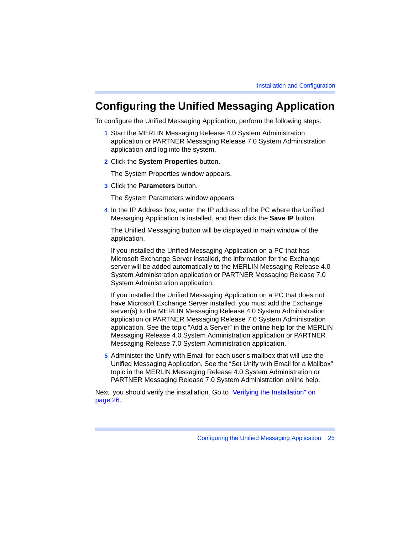# <span id="page-24-0"></span>**Configuring the Unified Messaging Application**

To configure the Unified Messaging Application, perform the following steps:

- **1** Start the MERLIN Messaging Release 4.0 System Administration application or PARTNER Messaging Release 7.0 System Administration application and log into the system.
- **2** Click the **System Properties** button.

The System Properties window appears.

**3** Click the **Parameters** button.

The System Parameters window appears.

**4** In the IP Address box, enter the IP address of the PC where the Unified Messaging Application is installed, and then click the **Save IP** button.

The Unified Messaging button will be displayed in main window of the application.

If you installed the Unified Messaging Application on a PC that has Microsoft Exchange Server installed, the information for the Exchange server will be added automatically to the MERLIN Messaging Release 4.0 System Administration application or PARTNER Messaging Release 7.0 System Administration application.

If you installed the Unified Messaging Application on a PC that does not have Microsoft Exchange Server installed, you must add the Exchange server(s) to the MERLIN Messaging Release 4.0 System Administration application or PARTNER Messaging Release 7.0 System Administration application. See the topic "Add a Server" in the online help for the MERLIN Messaging Release 4.0 System Administration application or PARTNER Messaging Release 7.0 System Administration application.

**5** Administer the Unify with Email for each user's mailbox that will use the Unified Messaging Application. See the "Set Unify with Email for a Mailbox" topic in the MERLIN Messaging Release 4.0 System Administration or PARTNER Messaging Release 7.0 System Administration online help.

Next, you should verify the installation. Go to ["Verifying the Installation" on](#page-25-0)  [page 26](#page-25-0).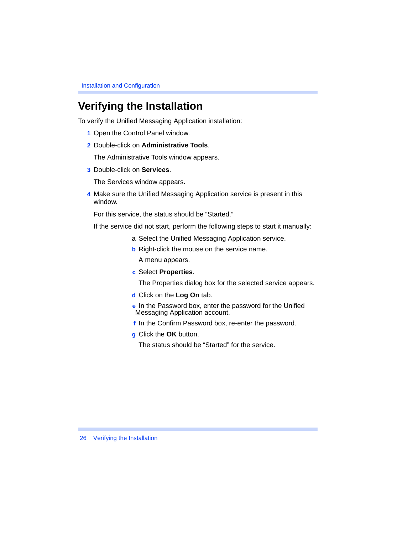# <span id="page-25-0"></span>**Verifying the Installation**

To verify the Unified Messaging Application installation:

- **1** Open the Control Panel window.
- **2** Double-click on **Administrative Tools**.

The Administrative Tools window appears.

**3** Double-click on **Services**.

The Services window appears.

**4** Make sure the Unified Messaging Application service is present in this window.

For this service, the status should be "Started."

If the service did not start, perform the following steps to start it manually:

- a Select the Unified Messaging Application service.
- **b** Right-click the mouse on the service name. A menu appears.
- **c** Select **Properties**.

The Properties dialog box for the selected service appears.

- **d** Click on the **Log On** tab.
- **e** In the Password box, enter the password for the Unified Messaging Application account.
- **f** In the Confirm Password box, re-enter the password.
- **g** Click the **OK** button.

The status should be "Started" for the service.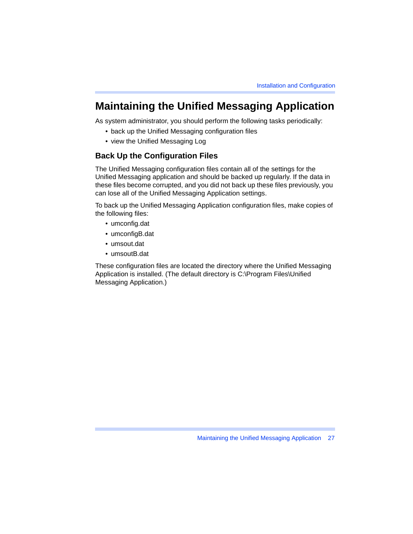# <span id="page-26-0"></span>**Maintaining the Unified Messaging Application**

As system administrator, you should perform the following tasks periodically:

- back up the Unified Messaging configuration files
- view the Unified Messaging Log

## <span id="page-26-1"></span>**Back Up the Configuration Files**

The Unified Messaging configuration files contain all of the settings for the Unified Messaging application and should be backed up regularly. If the data in these files become corrupted, and you did not back up these files previously, you can lose all of the Unified Messaging Application settings.

To back up the Unified Messaging Application configuration files, make copies of the following files:

- umconfig.dat
- umconfigB.dat
- umsout.dat
- umsoutB.dat

These configuration files are located the directory where the Unified Messaging Application is installed. (The default directory is C:\Program Files\Unified Messaging Application.)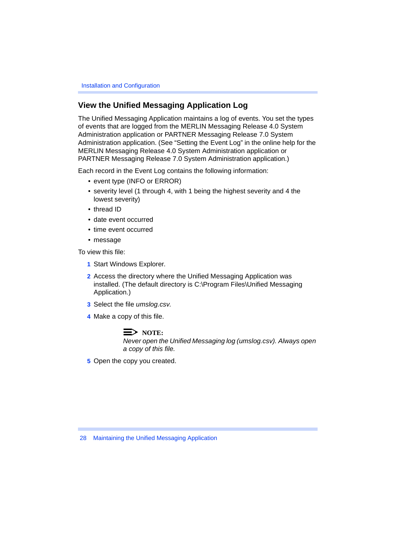## <span id="page-27-0"></span>**View the Unified Messaging Application Log**

The Unified Messaging Application maintains a log of events. You set the types of events that are logged from the MERLIN Messaging Release 4.0 System Administration application or PARTNER Messaging Release 7.0 System Administration application. (See "Setting the Event Log" in the online help for the MERLIN Messaging Release 4.0 System Administration application or PARTNER Messaging Release 7.0 System Administration application.)

Each record in the Event Log contains the following information:

- event type (INFO or ERROR)
- severity level (1 through 4, with 1 being the highest severity and 4 the lowest severity)
- thread ID
- date event occurred
- time event occurred
- message

To view this file:

- **1** Start Windows Explorer.
- **2** Access the directory where the Unified Messaging Application was installed. (The default directory is C:\Program Files\Unified Messaging Application.)
- **3** Select the file umslog.csv.
- **4** Make a copy of this file.

### $\equiv$  note:

Never open the Unified Messaging log (umslog.csv). Always open a copy of this file.

**5** Open the copy you created.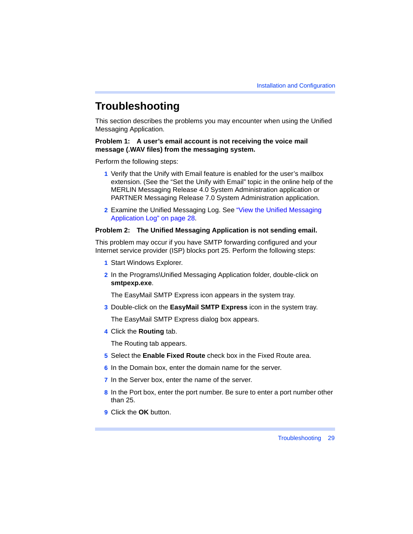# <span id="page-28-0"></span>**Troubleshooting**

This section describes the problems you may encounter when using the Unified Messaging Application.

#### **Problem 1: A user's email account is not receiving the voice mail message (.WAV files) from the messaging system.**

Perform the following steps:

- **1** Verify that the Unify with Email feature is enabled for the user's mailbox extension. (See the "Set the Unify with Email" topic in the online help of the MERLIN Messaging Release 4.0 System Administration application or PARTNER Messaging Release 7.0 System Administration application.
- **2** Examine the Unified Messaging Log. See ["View the Unified Messaging](#page-27-0)  [Application Log" on page 28.](#page-27-0)

### **Problem 2: The Unified Messaging Application is not sending email.**

This problem may occur if you have SMTP forwarding configured and your Internet service provider (ISP) blocks port 25. Perform the following steps:

- **1** Start Windows Explorer.
- **2** In the Programs\Unified Messaging Application folder, double-click on **smtpexp.exe**.

The EasyMail SMTP Express icon appears in the system tray.

**3** Double-click on the **EasyMail SMTP Express** icon in the system tray.

The EasyMail SMTP Express dialog box appears.

**4** Click the **Routing** tab.

The Routing tab appears.

- **5** Select the **Enable Fixed Route** check box in the Fixed Route area.
- **6** In the Domain box, enter the domain name for the server.
- **7** In the Server box, enter the name of the server.
- **8** In the Port box, enter the port number. Be sure to enter a port number other than 25.
- **9** Click the **OK** button.